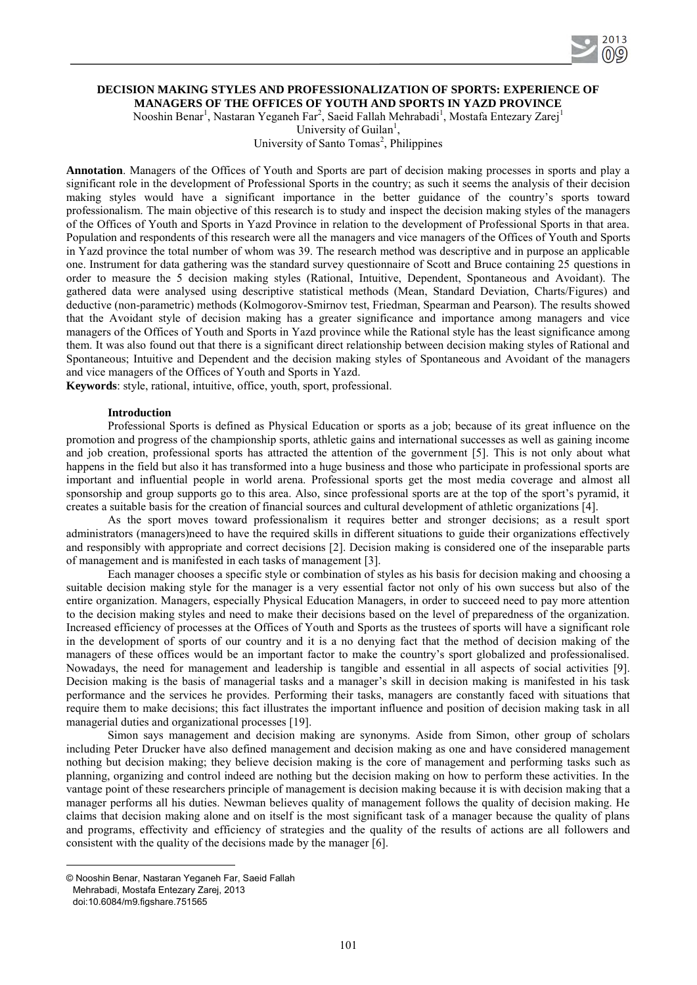

## **DECISION MAKING STYLES AND PROFESSIONALIZATION OF SPORTS: EXPERIENCE OF MANAGERS OF THE OFFICES OF YOUTH AND SPORTS IN YAZD PROVINCE**

Nooshin Benar<sup>1</sup>, Nastaran Yeganeh Far<sup>2</sup>, Saeid Fallah Mehrabadi<sup>1</sup>, Mostafa Entezary Zarej<sup>1</sup>

University of Guilan<sup>1</sup>,

University of Santo Tomas<sup>2</sup>, Philippines

**Annotation**. Managers of the Offices of Youth and Sports are part of decision making processes in sports and play a significant role in the development of Professional Sports in the country; as such it seems the analysis of their decision making styles would have a significant importance in the better guidance of the country's sports toward professionalism. The main objective of this research is to study and inspect the decision making styles of the managers of the Offices of Youth and Sports in Yazd Province in relation to the development of Professional Sports in that area. Population and respondents of this research were all the managers and vice managers of the Offices of Youth and Sports in Yazd province the total number of whom was 39. The research method was descriptive and in purpose an applicable one. Instrument for data gathering was the standard survey questionnaire of Scott and Bruce containing 25 questions in order to measure the 5 decision making styles (Rational, Intuitive, Dependent, Spontaneous and Avoidant). The gathered data were analysed using descriptive statistical methods (Mean, Standard Deviation, Charts/Figures) and deductive (non-parametric) methods (Kolmogorov-Smirnov test, Friedman, Spearman and Pearson). The results showed that the Avoidant style of decision making has a greater significance and importance among managers and vice managers of the Offices of Youth and Sports in Yazd province while the Rational style has the least significance among them. It was also found out that there is a significant direct relationship between decision making styles of Rational and Spontaneous; Intuitive and Dependent and the decision making styles of Spontaneous and Avoidant of the managers and vice managers of the Offices of Youth and Sports in Yazd.

**Keywords**: style, rational, intuitive, office, youth, sport, professional.

#### **Introduction**

Professional Sports is defined as Physical Education or sports as a job; because of its great influence on the promotion and progress of the championship sports, athletic gains and international successes as well as gaining income and job creation, professional sports has attracted the attention of the government [5]. This is not only about what happens in the field but also it has transformed into a huge business and those who participate in professional sports are important and influential people in world arena. Professional sports get the most media coverage and almost all sponsorship and group supports go to this area. Also, since professional sports are at the top of the sport's pyramid, it creates a suitable basis for the creation of financial sources and cultural development of athletic organizations [4].

As the sport moves toward professionalism it requires better and stronger decisions; as a result sport administrators (managers)need to have the required skills in different situations to guide their organizations effectively and responsibly with appropriate and correct decisions [2]. Decision making is considered one of the inseparable parts of management and is manifested in each tasks of management [3].

Each manager chooses a specific style or combination of styles as his basis for decision making and choosing a suitable decision making style for the manager is a very essential factor not only of his own success but also of the entire organization. Managers, especially Physical Education Managers, in order to succeed need to pay more attention to the decision making styles and need to make their decisions based on the level of preparedness of the organization. Increased efficiency of processes at the Offices of Youth and Sports as the trustees of sports will have a significant role in the development of sports of our country and it is a no denying fact that the method of decision making of the managers of these offices would be an important factor to make the country's sport globalized and professionalised. Nowadays, the need for management and leadership is tangible and essential in all aspects of social activities [9]. Decision making is the basis of managerial tasks and a manager's skill in decision making is manifested in his task performance and the services he provides. Performing their tasks, managers are constantly faced with situations that require them to make decisions; this fact illustrates the important influence and position of decision making task in all managerial duties and organizational processes [19].

Simon says management and decision making are synonyms. Aside from Simon, other group of scholars including Peter Drucker have also defined management and decision making as one and have considered management nothing but decision making; they believe decision making is the core of management and performing tasks such as planning, organizing and control indeed are nothing but the decision making on how to perform these activities. In the vantage point of these researchers principle of management is decision making because it is with decision making that a manager performs all his duties. Newman believes quality of management follows the quality of decision making. He claims that decision making alone and on itself is the most significant task of a manager because the quality of plans and programs, effectivity and efficiency of strategies and the quality of the results of actions are all followers and consistent with the quality of the decisions made by the manager [6].

<u>.</u>

<sup>©</sup> Nooshin Benar, Nastaran Yeganeh Far, Saeid Fallah

Mehrabadi, Mostafa Entezary Zarej, 2013

doi:10.6084/m9.figshare.751565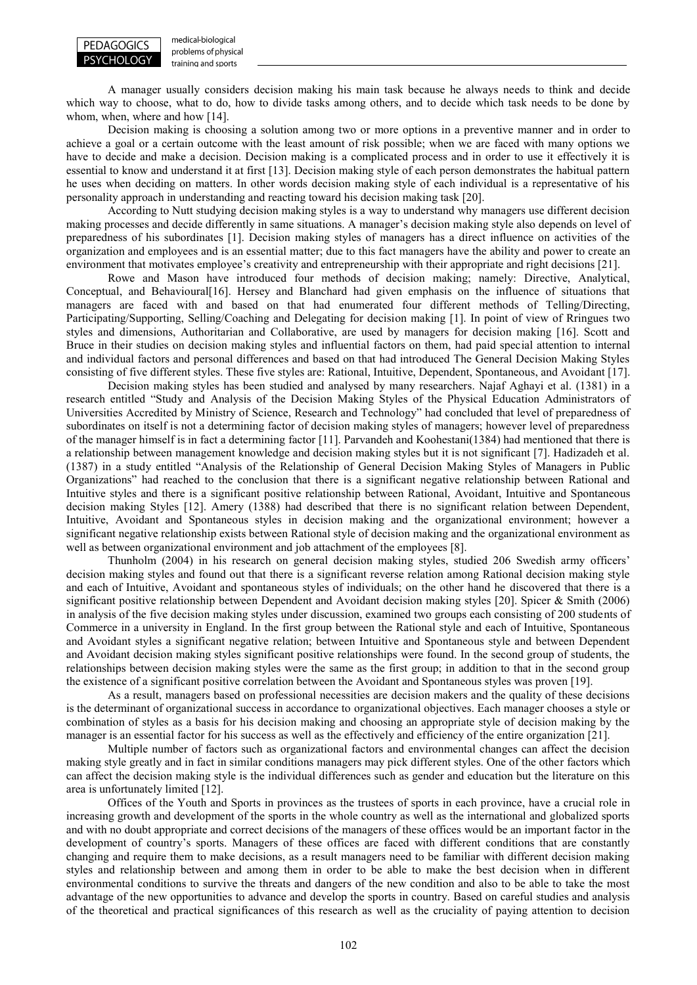

medical-biological problems of physical training and sports

A manager usually considers decision making his main task because he always needs to think and decide which way to choose, what to do, how to divide tasks among others, and to decide which task needs to be done by whom, when, where and how [14].

Decision making is choosing a solution among two or more options in a preventive manner and in order to achieve a goal or a certain outcome with the least amount of risk possible; when we are faced with many options we have to decide and make a decision. Decision making is a complicated process and in order to use it effectively it is essential to know and understand it at first [13]. Decision making style of each person demonstrates the habitual pattern he uses when deciding on matters. In other words decision making style of each individual is a representative of his personality approach in understanding and reacting toward his decision making task [20].

According to Nutt studying decision making styles is a way to understand why managers use different decision making processes and decide differently in same situations. A manager's decision making style also depends on level of preparedness of his subordinates [1]. Decision making styles of managers has a direct influence on activities of the organization and employees and is an essential matter; due to this fact managers have the ability and power to create an environment that motivates employee's creativity and entrepreneurship with their appropriate and right decisions [21].

Rowe and Mason have introduced four methods of decision making; namely: Directive, Analytical, Conceptual, and Behavioural[16]. Hersey and Blanchard had given emphasis on the influence of situations that managers are faced with and based on that had enumerated four different methods of Telling/Directing, Participating/Supporting, Selling/Coaching and Delegating for decision making [1]. In point of view of Rringues two styles and dimensions, Authoritarian and Collaborative, are used by managers for decision making [16]. Scott and Bruce in their studies on decision making styles and influential factors on them, had paid special attention to internal and individual factors and personal differences and based on that had introduced The General Decision Making Styles consisting of five different styles. These five styles are: Rational, Intuitive, Dependent, Spontaneous, and Avoidant [17].

Decision making styles has been studied and analysed by many researchers. Najaf Aghayi et al. (1381) in a research entitled "Study and Analysis of the Decision Making Styles of the Physical Education Administrators of Universities Accredited by Ministry of Science, Research and Technology" had concluded that level of preparedness of subordinates on itself is not a determining factor of decision making styles of managers; however level of preparedness of the manager himself is in fact a determining factor [11]. Parvandeh and Koohestani(1384) had mentioned that there is a relationship between management knowledge and decision making styles but it is not significant [7]. Hadizadeh et al. (1387) in a study entitled "Analysis of the Relationship of General Decision Making Styles of Managers in Public Organizations" had reached to the conclusion that there is a significant negative relationship between Rational and Intuitive styles and there is a significant positive relationship between Rational, Avoidant, Intuitive and Spontaneous decision making Styles [12]. Amery (1388) had described that there is no significant relation between Dependent, Intuitive, Avoidant and Spontaneous styles in decision making and the organizational environment; however a significant negative relationship exists between Rational style of decision making and the organizational environment as well as between organizational environment and job attachment of the employees [8].

Thunholm (2004) in his research on general decision making styles, studied 206 Swedish army officers' decision making styles and found out that there is a significant reverse relation among Rational decision making style and each of Intuitive, Avoidant and spontaneous styles of individuals; on the other hand he discovered that there is a significant positive relationship between Dependent and Avoidant decision making styles [20]. Spicer & Smith (2006) in analysis of the five decision making styles under discussion, examined two groups each consisting of 200 students of Commerce in a university in England. In the first group between the Rational style and each of Intuitive, Spontaneous and Avoidant styles a significant negative relation; between Intuitive and Spontaneous style and between Dependent and Avoidant decision making styles significant positive relationships were found. In the second group of students, the relationships between decision making styles were the same as the first group; in addition to that in the second group the existence of a significant positive correlation between the Avoidant and Spontaneous styles was proven [19].

As a result, managers based on professional necessities are decision makers and the quality of these decisions is the determinant of organizational success in accordance to organizational objectives. Each manager chooses a style or combination of styles as a basis for his decision making and choosing an appropriate style of decision making by the manager is an essential factor for his success as well as the effectively and efficiency of the entire organization [21].

Multiple number of factors such as organizational factors and environmental changes can affect the decision making style greatly and in fact in similar conditions managers may pick different styles. One of the other factors which can affect the decision making style is the individual differences such as gender and education but the literature on this area is unfortunately limited [12].

Offices of the Youth and Sports in provinces as the trustees of sports in each province, have a crucial role in increasing growth and development of the sports in the whole country as well as the international and globalized sports and with no doubt appropriate and correct decisions of the managers of these offices would be an important factor in the development of country's sports. Managers of these offices are faced with different conditions that are constantly changing and require them to make decisions, as a result managers need to be familiar with different decision making styles and relationship between and among them in order to be able to make the best decision when in different environmental conditions to survive the threats and dangers of the new condition and also to be able to take the most advantage of the new opportunities to advance and develop the sports in country. Based on careful studies and analysis of the theoretical and practical significances of this research as well as the cruciality of paying attention to decision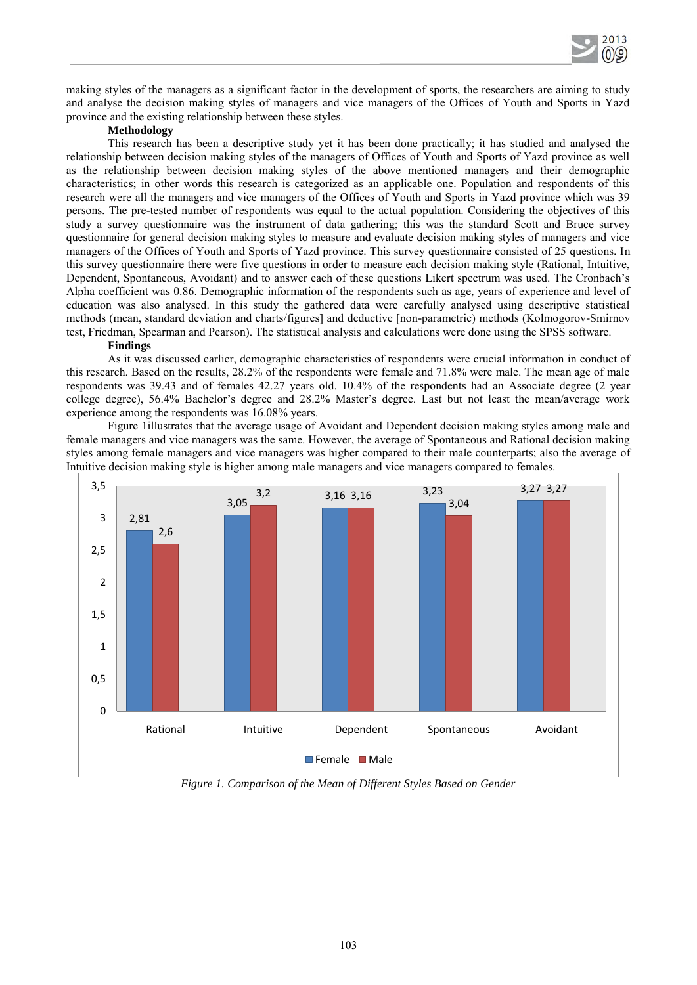

making styles of the managers as a significant factor in the development of sports, the researchers are aiming to study and analyse the decision making styles of managers and vice managers of the Offices of Youth and Sports in Yazd province and the existing relationship between these styles.

## **Methodology**

This research has been a descriptive study yet it has been done practically; it has studied and analysed the relationship between decision making styles of the managers of Offices of Youth and Sports of Yazd province as well as the relationship between decision making styles of the above mentioned managers and their demographic characteristics; in other words this research is categorized as an applicable one. Population and respondents of this research were all the managers and vice managers of the Offices of Youth and Sports in Yazd province which was 39 persons. The pre-tested number of respondents was equal to the actual population. Considering the objectives of this study a survey questionnaire was the instrument of data gathering; this was the standard Scott and Bruce survey questionnaire for general decision making styles to measure and evaluate decision making styles of managers and vice managers of the Offices of Youth and Sports of Yazd province. This survey questionnaire consisted of 25 questions. In this survey questionnaire there were five questions in order to measure each decision making style (Rational, Intuitive, Dependent, Spontaneous, Avoidant) and to answer each of these questions Likert spectrum was used. The Cronbach's Alpha coefficient was 0.86. Demographic information of the respondents such as age, years of experience and level of education was also analysed. In this study the gathered data were carefully analysed using descriptive statistical methods (mean, standard deviation and charts/figures] and deductive [non-parametric) methods (Kolmogorov-Smirnov test, Friedman, Spearman and Pearson). The statistical analysis and calculations were done using the SPSS software.

## **Findings**

As it was discussed earlier, demographic characteristics of respondents were crucial information in conduct of this research. Based on the results, 28.2% of the respondents were female and 71.8% were male. The mean age of male respondents was 39.43 and of females 42.27 years old. 10.4% of the respondents had an Associate degree (2 year college degree), 56.4% Bachelor's degree and 28.2% Master's degree. Last but not least the mean/average work experience among the respondents was 16.08% years.

Figure 1illustrates that the average usage of Avoidant and Dependent decision making styles among male and female managers and vice managers was the same. However, the average of Spontaneous and Rational decision making styles among female managers and vice managers was higher compared to their male counterparts; also the average of Intuitive decision making style is higher among male managers and vice managers compared to females.



*Figure 1. Comparison of the Mean of Different Styles Based on Gender*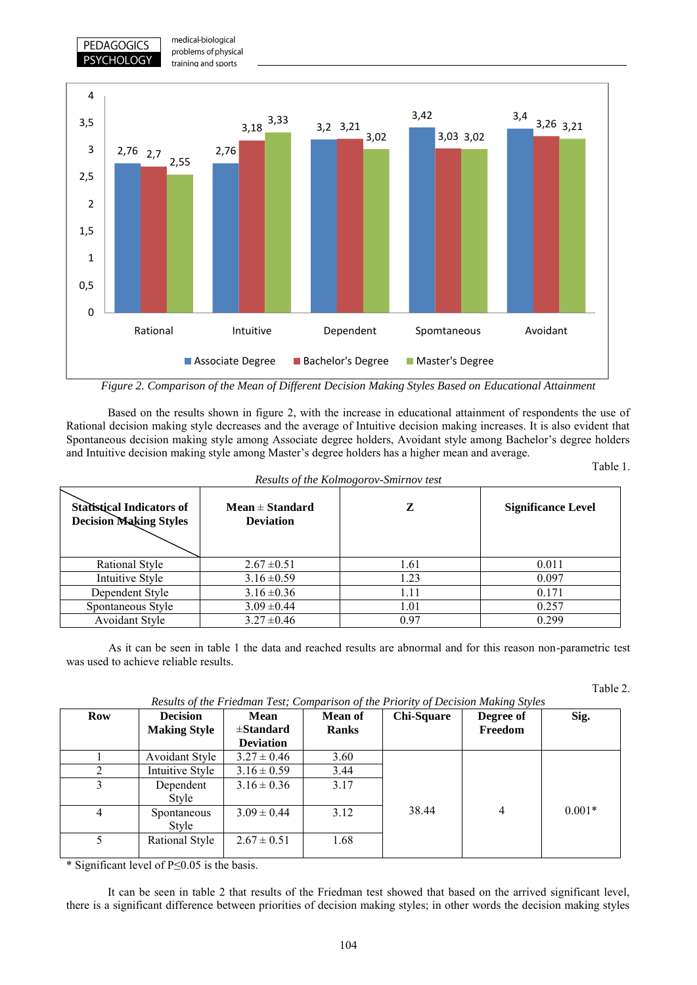

medical-biological

*Figure 2. Comparison of the Mean of Different Decision Making Styles Based on Educational Attainment* 

Based on the results shown in figure 2, with the increase in educational attainment of respondents the use of Rational decision making style decreases and the average of Intuitive decision making increases. It is also evident that Spontaneous decision making style among Associate degree holders, Avoidant style among Bachelor's degree holders and Intuitive decision making style among Master's degree holders has a higher mean and average.

Table 1.

| Results of the Kolmogorov-Smirnov test                            |                                         |      |                           |  |  |  |  |
|-------------------------------------------------------------------|-----------------------------------------|------|---------------------------|--|--|--|--|
| <b>Statistical Indicators of</b><br><b>Decision Making Styles</b> | Mean $\pm$ Standard<br><b>Deviation</b> | Z    | <b>Significance Level</b> |  |  |  |  |
| Rational Style                                                    | $2.67 \pm 0.51$                         | 1.61 | 0.011                     |  |  |  |  |
| Intuitive Style                                                   | $3.16 \pm 0.59$                         | 1.23 | 0.097                     |  |  |  |  |
| Dependent Style                                                   | $3.16 \pm 0.36$                         | 1.11 | 0.171                     |  |  |  |  |
| Spontaneous Style                                                 | $3.09 \pm 0.44$                         | 1.01 | 0.257                     |  |  |  |  |
| Avoidant Style                                                    | $3.27 \pm 0.46$                         | 0.97 | 0.299                     |  |  |  |  |

As it can be seen in table 1 the data and reached results are abnormal and for this reason non-parametric test was used to achieve reliable results.

Table 2.

| Row | <b>Decision</b>     | <b>Mean</b><br>$\pm$ Standard | Mean of      | <b>Chi-Square</b> | Degree of<br>Freedom | Sig.     |
|-----|---------------------|-------------------------------|--------------|-------------------|----------------------|----------|
|     | <b>Making Style</b> | <b>Deviation</b>              | <b>Ranks</b> |                   |                      |          |
|     | Avoidant Style      | $3.27 \pm 0.46$               | 3.60         |                   |                      |          |
| ↑   | Intuitive Style     | $3.16 \pm 0.59$               | 3.44         |                   |                      |          |
| 3   | Dependent           | $3.16 \pm 0.36$               | 3.17         |                   |                      |          |
|     | <b>Style</b>        |                               |              |                   |                      |          |
|     | Spontaneous         | $3.09 \pm 0.44$               | 3.12         | 38.44             | 4                    | $0.001*$ |
|     | Style               |                               |              |                   |                      |          |
|     | Rational Style      | $2.67 \pm 0.51$               | 1.68         |                   |                      |          |
|     |                     |                               |              |                   |                      |          |

*Results of the Friedman Test; Comparison of the Priority of Decision Making Styles* 

\* Significant level of P≤0.05 is the basis.

It can be seen in table 2 that results of the Friedman test showed that based on the arrived significant level, there is a significant difference between priorities of decision making styles; in other words the decision making styles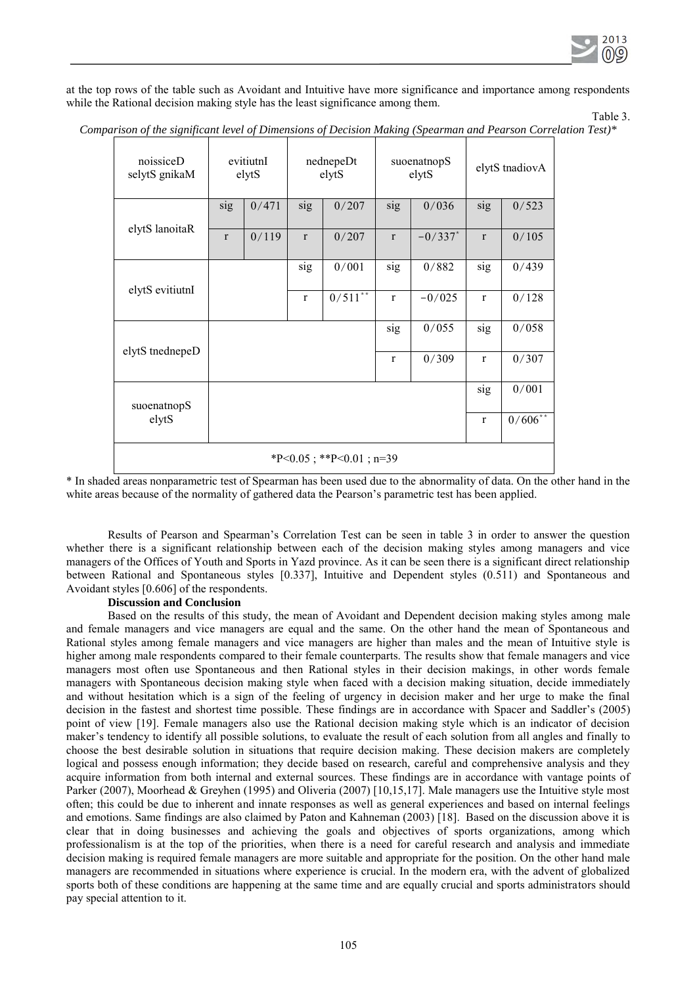

Table 3.

at the top rows of the table such as Avoidant and Intuitive have more significance and importance among respondents while the Rational decision making style has the least significance among them.

| noissiceD<br>selytS gnikaM | evitiutnI<br>elytS |       | nednepeDt<br>elytS |              | suoenatnopS<br>elytS |              | elytS tnadiovA |           |
|----------------------------|--------------------|-------|--------------------|--------------|----------------------|--------------|----------------|-----------|
| elytS lanoitaR             | sig                | 0/471 | sig                | 0/207        | sig                  | 0/036        | sig            | 0/523     |
|                            | $\mathbf{r}$       | 0/119 | $\mathbf{r}$       | 0/207        | $\mathbf{r}$         | $-0/337^{*}$ | $\mathbf{r}$   | 0/105     |
| elytS evitiutnI            |                    |       | sig                | 0/001        | sig                  | 0/882        | sig            | 0/439     |
|                            |                    |       | $\mathbf{r}$       | $0/511^{**}$ | $\mathbf{r}$         | $-0/025$     | $\mathbf{r}$   | 0/128     |
| elytS tnednepeD            |                    |       |                    |              | sig                  | 0/055        | sig            | 0/058     |
|                            |                    |       |                    |              | $\mathbf{r}$         | 0/309        | $\mathbf{r}$   | 0/307     |
| suoenatnopS                |                    |       |                    |              |                      |              | sig            | 0/001     |
| elytS                      |                    |       |                    |              |                      |              | $\mathbf{r}$   | $0/606**$ |
| *P<0.05; **P<0.01; n=39    |                    |       |                    |              |                      |              |                |           |

*Comparison of the significant level of Dimensions of Decision Making (Spearman and Pearson Correlation Test)\**

\* In shaded areas nonparametric test of Spearman has been used due to the abnormality of data. On the other hand in the white areas because of the normality of gathered data the Pearson's parametric test has been applied.

Results of Pearson and Spearman's Correlation Test can be seen in table 3 in order to answer the question whether there is a significant relationship between each of the decision making styles among managers and vice managers of the Offices of Youth and Sports in Yazd province. As it can be seen there is a significant direct relationship between Rational and Spontaneous styles [0.337], Intuitive and Dependent styles (0.511) and Spontaneous and Avoidant styles [0.606] of the respondents.

## **Discussion and Conclusion**

Based on the results of this study, the mean of Avoidant and Dependent decision making styles among male and female managers and vice managers are equal and the same. On the other hand the mean of Spontaneous and Rational styles among female managers and vice managers are higher than males and the mean of Intuitive style is higher among male respondents compared to their female counterparts. The results show that female managers and vice managers most often use Spontaneous and then Rational styles in their decision makings, in other words female managers with Spontaneous decision making style when faced with a decision making situation, decide immediately and without hesitation which is a sign of the feeling of urgency in decision maker and her urge to make the final decision in the fastest and shortest time possible. These findings are in accordance with Spacer and Saddler's (2005) point of view [19]. Female managers also use the Rational decision making style which is an indicator of decision maker's tendency to identify all possible solutions, to evaluate the result of each solution from all angles and finally to choose the best desirable solution in situations that require decision making. These decision makers are completely logical and possess enough information; they decide based on research, careful and comprehensive analysis and they acquire information from both internal and external sources. These findings are in accordance with vantage points of Parker (2007), Moorhead & Greyhen (1995) and Oliveria (2007) [10,15,17]. Male managers use the Intuitive style most often; this could be due to inherent and innate responses as well as general experiences and based on internal feelings and emotions. Same findings are also claimed by Paton and Kahneman (2003) [18]. Based on the discussion above it is clear that in doing businesses and achieving the goals and objectives of sports organizations, among which professionalism is at the top of the priorities, when there is a need for careful research and analysis and immediate decision making is required female managers are more suitable and appropriate for the position. On the other hand male managers are recommended in situations where experience is crucial. In the modern era, with the advent of globalized sports both of these conditions are happening at the same time and are equally crucial and sports administrators should pay special attention to it.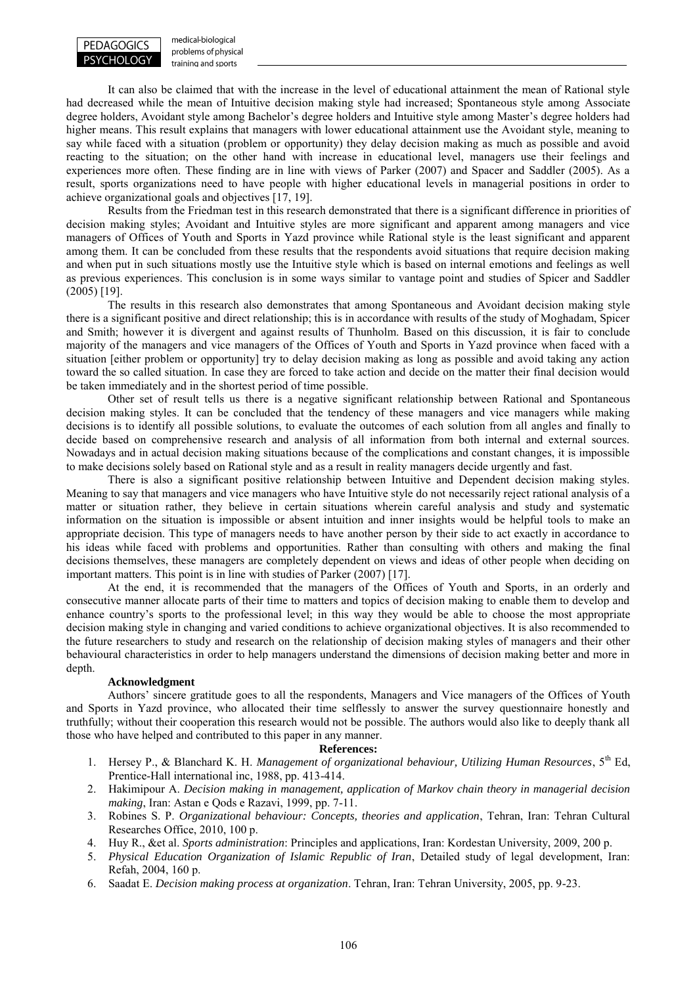

medical-biological problems of physical training and sports

It can also be claimed that with the increase in the level of educational attainment the mean of Rational style had decreased while the mean of Intuitive decision making style had increased; Spontaneous style among Associate degree holders, Avoidant style among Bachelor's degree holders and Intuitive style among Master's degree holders had higher means. This result explains that managers with lower educational attainment use the Avoidant style, meaning to say while faced with a situation (problem or opportunity) they delay decision making as much as possible and avoid reacting to the situation; on the other hand with increase in educational level, managers use their feelings and experiences more often. These finding are in line with views of Parker (2007) and Spacer and Saddler (2005). As a result, sports organizations need to have people with higher educational levels in managerial positions in order to achieve organizational goals and objectives [17, 19].

Results from the Friedman test in this research demonstrated that there is a significant difference in priorities of decision making styles; Avoidant and Intuitive styles are more significant and apparent among managers and vice managers of Offices of Youth and Sports in Yazd province while Rational style is the least significant and apparent among them. It can be concluded from these results that the respondents avoid situations that require decision making and when put in such situations mostly use the Intuitive style which is based on internal emotions and feelings as well as previous experiences. This conclusion is in some ways similar to vantage point and studies of Spicer and Saddler (2005) [19].

The results in this research also demonstrates that among Spontaneous and Avoidant decision making style there is a significant positive and direct relationship; this is in accordance with results of the study of Moghadam, Spicer and Smith; however it is divergent and against results of Thunholm. Based on this discussion, it is fair to conclude majority of the managers and vice managers of the Offices of Youth and Sports in Yazd province when faced with a situation [either problem or opportunity] try to delay decision making as long as possible and avoid taking any action toward the so called situation. In case they are forced to take action and decide on the matter their final decision would be taken immediately and in the shortest period of time possible.

Other set of result tells us there is a negative significant relationship between Rational and Spontaneous decision making styles. It can be concluded that the tendency of these managers and vice managers while making decisions is to identify all possible solutions, to evaluate the outcomes of each solution from all angles and finally to decide based on comprehensive research and analysis of all information from both internal and external sources. Nowadays and in actual decision making situations because of the complications and constant changes, it is impossible to make decisions solely based on Rational style and as a result in reality managers decide urgently and fast.

There is also a significant positive relationship between Intuitive and Dependent decision making styles. Meaning to say that managers and vice managers who have Intuitive style do not necessarily reject rational analysis of a matter or situation rather, they believe in certain situations wherein careful analysis and study and systematic information on the situation is impossible or absent intuition and inner insights would be helpful tools to make an appropriate decision. This type of managers needs to have another person by their side to act exactly in accordance to his ideas while faced with problems and opportunities. Rather than consulting with others and making the final decisions themselves, these managers are completely dependent on views and ideas of other people when deciding on important matters. This point is in line with studies of Parker (2007) [17].

At the end, it is recommended that the managers of the Offices of Youth and Sports, in an orderly and consecutive manner allocate parts of their time to matters and topics of decision making to enable them to develop and enhance country's sports to the professional level; in this way they would be able to choose the most appropriate decision making style in changing and varied conditions to achieve organizational objectives. It is also recommended to the future researchers to study and research on the relationship of decision making styles of managers and their other behavioural characteristics in order to help managers understand the dimensions of decision making better and more in depth.

# **Acknowledgment**

Authors' sincere gratitude goes to all the respondents, Managers and Vice managers of the Offices of Youth and Sports in Yazd province, who allocated their time selflessly to answer the survey questionnaire honestly and truthfully; without their cooperation this research would not be possible. The authors would also like to deeply thank all those who have helped and contributed to this paper in any manner.

# **References:**

- 1. Hersey P., & Blanchard K. H. *Management of organizational behaviour, Utilizing Human Resources*, 5<sup>th</sup> Ed, Prentice-Hall international inc, 1988, pp. 413-414.
- 2. Hakimipour A. *Decision making in management, application of Markov chain theory in managerial decision making*, Iran: Astan e Qods e Razavi, 1999, pp. 7-11.
- 3. Robines S. P. *Organizational behaviour: Concepts, theories and application*, Tehran, Iran: Tehran Cultural Researches Office, 2010, 100 p.
- 4. Huy R., &et al. *Sports administration*: Principles and applications, Iran: Kordestan University, 2009, 200 p.
- 5. *Physical Education Organization of Islamic Republic of Iran*, Detailed study of legal development, Iran: Refah, 2004, 160 p.
- 6. Saadat E. *Decision making process at organization*. Tehran, Iran: Tehran University, 2005, pp. 9-23.